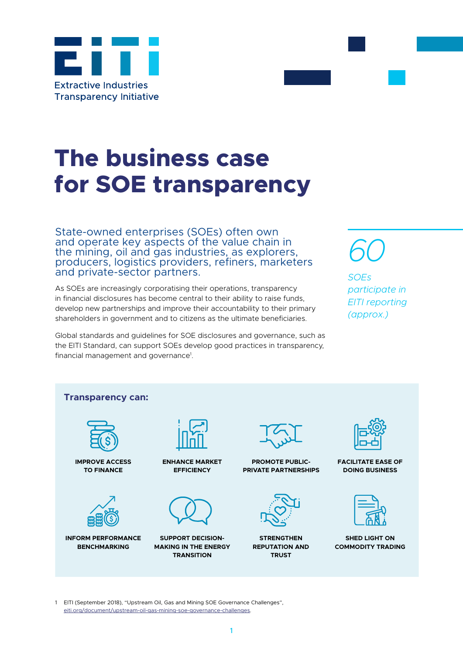

# **The business case for SOE transparency**

State-owned enterprises (SOEs) often own and operate key aspects of the value chain in the mining, oil and gas industries, as explorers, producers, logistics providers, refiners, marketers and private-sector partners.

As SOEs are increasingly corporatising their operations, transparency in financial disclosures has become central to their ability to raise funds, develop new partnerships and improve their accountability to their primary shareholders in government and to citizens as the ultimate beneficiaries.

Global standards and guidelines for SOE disclosures and governance, such as the EITI Standard, can support SOEs develop good practices in transparency, financial management and governance<sup>1</sup>.



*SOEs participate in EITI reporting (approx.)* 



1 EITI (September 2018), "Upstream Oil, Gas and Mining SOE Governance Challenges", [eiti.org/document/upstream-oil-gas-mining-soe-governance-challenges](http://www.eiti.org/document/upstream-oil-gas-mining-soe-governance-challenges).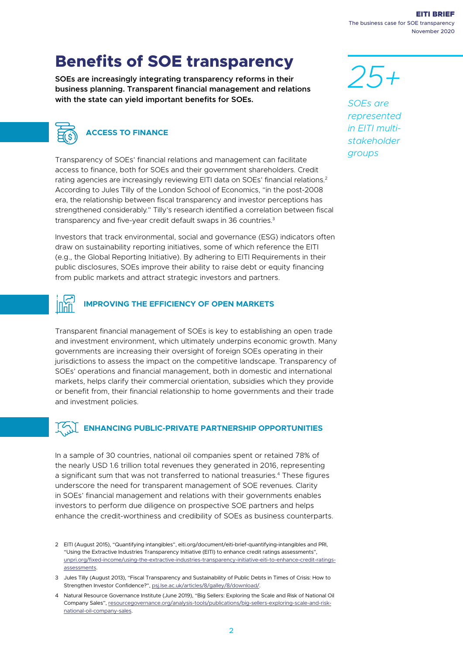$\overline{2}$ 

EITI BRIEF The business case for SOE transparency November 2020

## **Benefits of SOE transparency**

**SOEs are increasingly integrating transparency reforms in their business planning. Transparent financial management and relations with the state can yield important benefits for SOEs.** 



Transparency of SOEs' financial relations and management can facilitate access to finance, both for SOEs and their government shareholders. Credit rating agencies are increasingly reviewing EITI data on SOEs' financial relations.2 According to Jules Tilly of the London School of Economics, "in the post-2008 era, the relationship between fiscal transparency and investor perceptions has strengthened considerably." Tilly's research identified a correlation between fiscal transparency and five-year credit default swaps in 36 countries.3

Investors that track environmental, social and governance (ESG) indicators often draw on sustainability reporting initiatives, some of which reference the EITI (e.g., the Global Reporting Initiative). By adhering to EITI Requirements in their public disclosures, SOEs improve their ability to raise debt or equity financing from public markets and attract strategic investors and partners.

## **IMPROVING THE EFFICIENCY OF OPEN MARKETS**

Transparent financial management of SOEs is key to establishing an open trade and investment environment, which ultimately underpins economic growth. Many governments are increasing their oversight of foreign SOEs operating in their jurisdictions to assess the impact on the competitive landscape. Transparency of SOEs' operations and financial management, both in domestic and international markets, helps clarify their commercial orientation, subsidies which they provide or benefit from, their financial relationship to home governments and their trade and investment policies.

## **ENHANCING PUBLIC-PRIVATE PARTNERSHIP OPPORTUNITIES**

In a sample of 30 countries, national oil companies spent or retained 78% of the nearly USD 1.6 trillion total revenues they generated in 2016, representing a significant sum that was not transferred to national treasuries.4 These figures underscore the need for transparent management of SOE revenues. Clarity in SOEs' financial management and relations with their governments enables investors to perform due diligence on prospective SOE partners and helps enhance the credit-worthiness and credibility of SOEs as business counterparts.

*25+ SOEs are represented in EITI multistakeholder groups* 

<sup>2</sup> EITI (August 2015), "Quantifying intangibles", eiti.org/document/eiti-brief-quantifying-intangibles and PRI, "Using the Extractive Industries Transparency Initiative (EITI) to enhance credit ratings assessments", [unpri.org/fixed-income/using-the-extractive-industries-transparency-initiative-eiti-to-enhance-credit-ratings](http://www.unpri.org/fixed-income/using-the-extractive-industries-transparency-initiative-eiti-to-enhance-credit-ratings-assessments)[assessments.](http://www.unpri.org/fixed-income/using-the-extractive-industries-transparency-initiative-eiti-to-enhance-credit-ratings-assessments)

<sup>3</sup> Jules Tilly (August 2013), "Fiscal Transparency and Sustainability of Public Debts in Times of Crisis: How to Strengthen Investor Confidence?", [psj.lse.ac.uk/articles/8/galley/8/download/](http://www.psj.lse.ac.uk/articles/8/galley/8/download/).

<sup>4</sup> Natural Resource Governance Institute (June 2019), "Big Sellers: Exploring the Scale and Risk of National Oil Company Sales", [resourcegovernance.org/analysis-tools/publications/big-sellers-exploring-scale-and-risk](http://www.resourcegovernance.org/analysis-tools/publications/big-sellers-exploring-scale-and-risk-national-oil-company-sales)[national-oil-company-sales](http://www.resourcegovernance.org/analysis-tools/publications/big-sellers-exploring-scale-and-risk-national-oil-company-sales).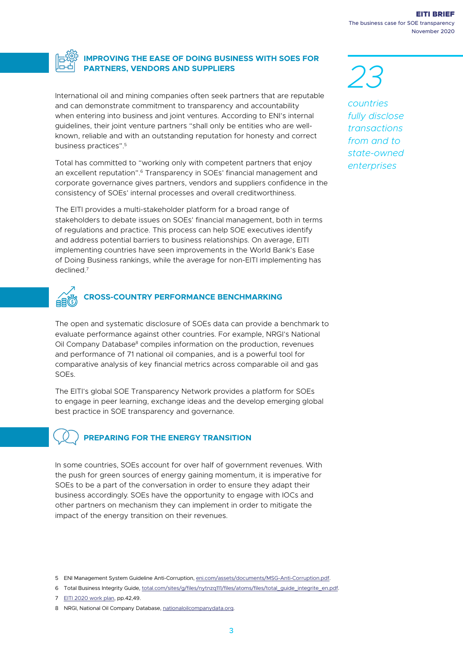

#### **IMPROVING THE EASE OF DOING BUSINESS WITH SOES FOR PARTNERS, VENDORS AND SUPPLIERS**

International oil and mining companies often seek partners that are reputable and can demonstrate commitment to transparency and accountability when entering into business and joint ventures. According to ENI's internal guidelines, their joint venture partners "shall only be entities who are wellknown, reliable and with an outstanding reputation for honesty and correct business practices".5

Total has committed to "working only with competent partners that enjoy an excellent reputation".6 Transparency in SOEs' financial management and corporate governance gives partners, vendors and suppliers confidence in the consistency of SOEs' internal processes and overall creditworthiness.

The EITI provides a multi-stakeholder platform for a broad range of stakeholders to debate issues on SOEs' financial management, both in terms of regulations and practice. This process can help SOE executives identify and address potential barriers to business relationships. On average, EITI implementing countries have seen improvements in the World Bank's Ease of Doing Business rankings, while the average for non-EITI implementing has declined.7



The open and systematic disclosure of SOEs data can provide a benchmark to evaluate performance against other countries. For example, NRGI's National Oil Company Database<sup>8</sup> compiles information on the production, revenues and performance of 71 national oil companies, and is a powerful tool for comparative analysis of key financial metrics across comparable oil and gas SOEs.

The EITI's global SOE Transparency Network provides a platform for SOEs to engage in peer learning, exchange ideas and the develop emerging global best practice in SOE transparency and governance.

## **PREPARING FOR THE ENERGY TRANSITION**

In some countries, SOEs account for over half of government revenues. With the push for green sources of energy gaining momentum, it is imperative for SOEs to be a part of the conversation in order to ensure they adapt their business accordingly. SOEs have the opportunity to engage with IOCs and other partners on mechanism they can implement in order to mitigate the impact of the energy transition on their revenues.

5 ENI Management System Guideline Anti-Corruption, [eni.com/assets/documents/MSG-Anti-Corruption.pdf.](http://www.eni.com/assets/documents/MSG-Anti-Corruption.pdf)

7 [EITI 2020 work plan,](https://eiti.org/document/secretariat-work-plan-20072020) pp.42,49.

*23 countries fully disclose transactions from and to* 

*state-owned enterprises*

<sup>6</sup> Total Business Integrity Guide, [total.com/sites/g/files/nytnzq111/files/atoms/files/total\\_guide\\_integrite\\_en.pdf.](http://www.total.com/sites/g/files/nytnzq111/files/atoms/files/total_guide_integrite_en.pdf)

<sup>8</sup> NRGI, National Oil Company Database, [nationaloilcompanydata.org](http://www.nationaloilcompanydata.org).